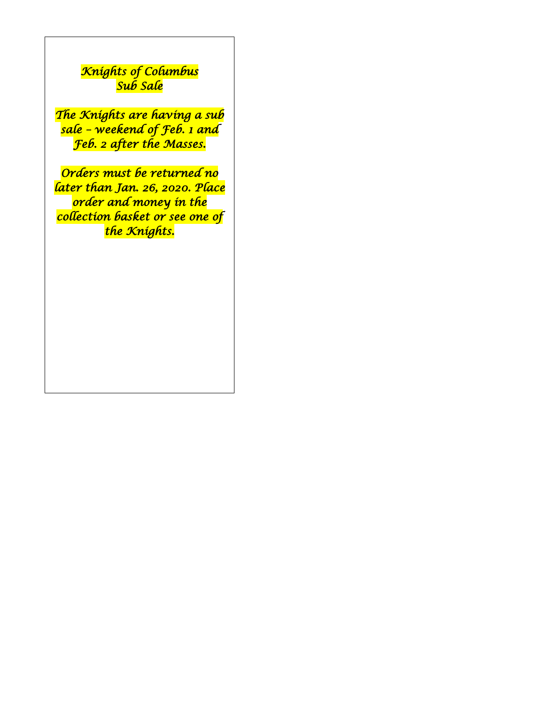# *Knights of Columbus Sub Sale*

*The Knights are having a sub sale – weekend of Feb. 1 and Feb. 2 after the Masses.* 

*Orders must be returned no later than Jan. 26, 2020. Place order and money in the collection basket or see one of the Knights.*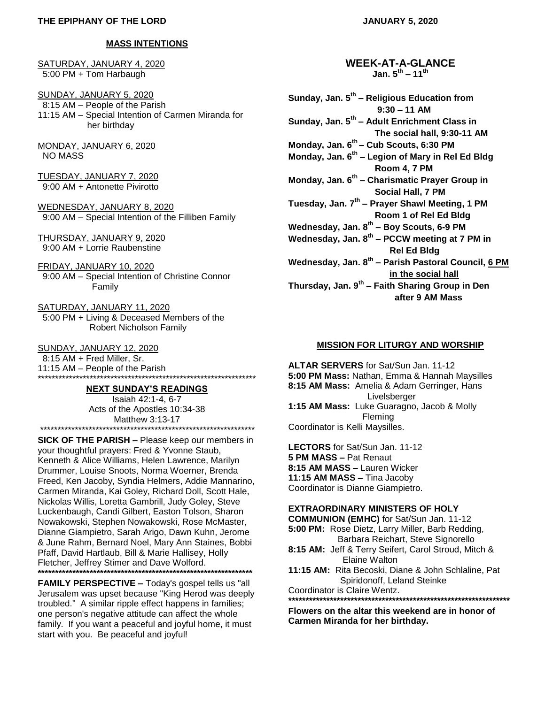### **MASS INTENTIONS**

SATURDAY, JANUARY 4, 2020 5:00 PM + Tom Harbaugh

SUNDAY, JANUARY 5, 2020 8:15 AM – People of the Parish 11:15 AM – Special Intention of Carmen Miranda for her birthday

MONDAY, JANUARY 6, 2020 NO MASS

TUESDAY, JANUARY 7, 2020 9:00 AM + Antonette Pivirotto

WEDNESDAY, JANUARY 8, 2020 9:00 AM – Special Intention of the Filliben Family

THURSDAY, JANUARY 9, 2020 9:00 AM + Lorrie Raubenstine

FRIDAY, JANUARY 10, 2020 9:00 AM – Special Intention of Christine Connor Family

SATURDAY, JANUARY 11, 2020 5:00 PM + Living & Deceased Members of the Robert Nicholson Family

SUNDAY, JANUARY 12, 2020

 8:15 AM + Fred Miller, Sr. 11:15 AM – People of the Parish \*\*\*\*\*\*\*\*\*\*\*\*\*\*\*\*\*\*\*\*\*\*\*\*\*\*\*\*\*\*\*\*\*\*\*\*\*\*\*\*\*\*\*\*\*\*\*\*\*\*\*\*\*\*\*\*\*\*\*\*\*\*\*

### **NEXT SUNDAY'S READINGS**

Isaiah 42:1-4, 6-7 Acts of the Apostles 10:34-38 Matthew 3:13-17 \*\*\*\*\*\*\*\*\*\*\*\*\*\*\*\*\*\*\*

**SICK OF THE PARISH –** Please keep our members in your thoughtful prayers: Fred & Yvonne Staub, Kenneth & Alice Williams, Helen Lawrence, Marilyn Drummer, Louise Snoots, Norma Woerner, Brenda Freed, Ken Jacoby, Syndia Helmers, Addie Mannarino, Carmen Miranda, Kai Goley, Richard Doll, Scott Hale, Nickolas Willis, Loretta Gambrill, Judy Goley, Steve Luckenbaugh, Candi Gilbert, Easton Tolson, Sharon Nowakowski, Stephen Nowakowski, Rose McMaster, Dianne Giampietro, Sarah Arigo, Dawn Kuhn, Jerome & June Rahm, Bernard Noel, Mary Ann Staines, Bobbi Pfaff, David Hartlaub, Bill & Marie Hallisey, Holly Fletcher, Jeffrey Stimer and Dave Wolford. **\*\*\*\*\*\*\*\*\*\*\*\*\*\*\*\*\*\*\*\*\*\*\*\*\*\*\*\*\*\*\*\*\*\*\*\*\*\*\*\*\*\*\*\*\*\*\*\*\*\*\*\*\*\*\*\*\*\*\*\*\*\***

**FAMILY PERSPECTIVE –** Today's gospel tells us "all Jerusalem was upset because "King Herod was deeply troubled." A similar ripple effect happens in families; one person's negative attitude can affect the whole family. If you want a peaceful and joyful home, it must start with you. Be peaceful and joyful!

**JANUARY 5, 2020**

**WEEK-AT-A-GLANCE Jan. 5th – 11th**

**Sunday, Jan. 5th – Religious Education from 9:30 – 11 AM Sunday, Jan. 5th – Adult Enrichment Class in The social hall, 9:30-11 AM Monday, Jan. 6th – Cub Scouts, 6:30 PM Monday, Jan. 6th – Legion of Mary in Rel Ed Bldg Room 4, 7 PM Monday, Jan. 6th – Charismatic Prayer Group in Social Hall, 7 PM Tuesday, Jan. 7th – Prayer Shawl Meeting, 1 PM Room 1 of Rel Ed Bldg Wednesday, Jan. 8th – Boy Scouts, 6-9 PM Wednesday, Jan. 8th – PCCW meeting at 7 PM in Rel Ed Bldg Wednesday, Jan. 8th – Parish Pastoral Council, 6 PM in the social hall Thursday, Jan. 9th – Faith Sharing Group in Den after 9 AM Mass**

#### **MISSION FOR LITURGY AND WORSHIP**

**ALTAR SERVERS** for Sat/Sun Jan. 11-12 **5:00 PM Mass:** Nathan, Emma & Hannah Maysilles **8:15 AM Mass:** Amelia & Adam Gerringer, Hans Livelsberger **1:15 AM Mass:** Luke Guaragno, Jacob & Molly Fleming Coordinator is Kelli Maysilles.

**LECTORS** for Sat/Sun Jan. 11-12 **5 PM MASS –** Pat Renaut **8:15 AM MASS –** Lauren Wicker **11:15 AM MASS –** Tina Jacoby Coordinator is Dianne Giampietro.

#### **EXTRAORDINARY MINISTERS OF HOLY**

**COMMUNION (EMHC)** for Sat/Sun Jan. 11-12 **5:00 PM:** Rose Dietz, Larry Miller, Barb Redding, Barbara Reichart, Steve Signorello **8:15 AM:** Jeff & Terry Seifert, Carol Stroud, Mitch & Elaine Walton **11:15 AM:** Rita Becoski, Diane & John Schlaline, Pat Spiridonoff, Leland Steinke Coordinator is Claire Wentz. **\*\*\*\*\*\*\*\*\*\*\*\*\*\*\*\*\*\*\*\*\*\*\*\*\*\*\*\*\*\*\*\*\*\*\*\*\*\*\*\*\*\*\*\*\*\*\*\*\*\*\*\*\*\*\*\*\*\*\*\*\*\*\*\***

**Flowers on the altar this weekend are in honor of Carmen Miranda for her birthday.**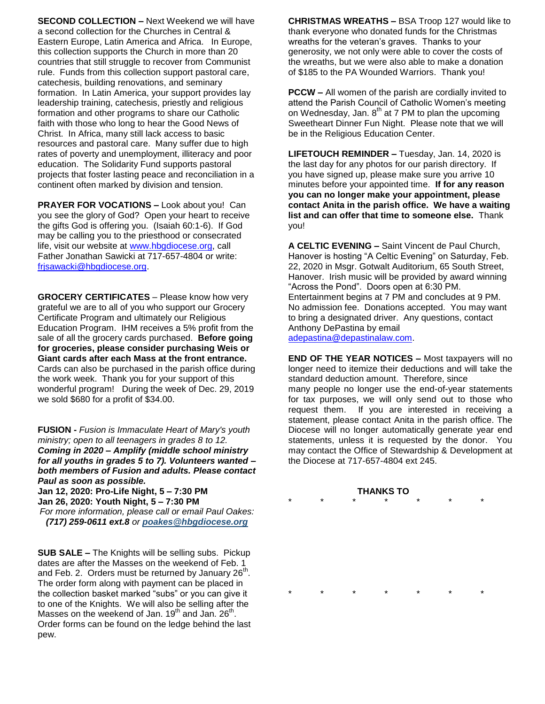**SECOND COLLECTION –** Next Weekend we will have a second collection for the Churches in Central & Eastern Europe, Latin America and Africa. In Europe, this collection supports the Church in more than 20 countries that still struggle to recover from Communist rule. Funds from this collection support pastoral care, catechesis, building renovations, and seminary formation. In Latin America, your support provides lay leadership training, catechesis, priestly and religious formation and other programs to share our Catholic faith with those who long to hear the Good News of Christ. In Africa, many still lack access to basic resources and pastoral care. Many suffer due to high rates of poverty and unemployment, illiteracy and poor education. The Solidarity Fund supports pastoral projects that foster lasting peace and reconciliation in a continent often marked by division and tension.

**PRAYER FOR VOCATIONS –** Look about you! Can you see the glory of God? Open your heart to receive the gifts God is offering you. (Isaiah 60:1-6). If God may be calling you to the priesthood or consecrated life, visit our website at [www.hbgdiocese.org,](http://www.hbgdiocese.org/) call Father Jonathan Sawicki at 717-657-4804 or write: [frjsawacki@hbgdiocese.org.](mailto:frjsawacki@hbgdiocese.org)

**GROCERY CERTIFICATES** – Please know how very grateful we are to all of you who support our Grocery Certificate Program and ultimately our Religious Education Program. IHM receives a 5% profit from the sale of all the grocery cards purchased. **Before going for groceries, please consider purchasing Weis or Giant cards after each Mass at the front entrance.** Cards can also be purchased in the parish office during the work week. Thank you for your support of this wonderful program! During the week of Dec. 29, 2019 we sold \$680 for a profit of \$34.00.

**FUSION -** *Fusion is Immaculate Heart of Mary's youth ministry; open to all teenagers in grades 8 to 12. Coming in 2020 – Amplify (middle school ministry for all youths in grades 5 to 7). Volunteers wanted – both members of Fusion and adults. Please contact Paul as soon as possible.*

**Jan 12, 2020: Pro-Life Night, 5 – 7:30 PM Jan 26, 2020: Youth Night, 5 – 7:30 PM**

*For more information, please call or email Paul Oakes: (717) 259-0611 ext.8 or [poakes@hbgdiocese.org](mailto:poakes@hbgdiocese.org)*

**SUB SALE –** The Knights will be selling subs. Pickup dates are after the Masses on the weekend of Feb. 1 and Feb. 2. Orders must be returned by January 26<sup>th</sup>. The order form along with payment can be placed in the collection basket marked "subs" or you can give it to one of the Knights. We will also be selling after the Masses on the weekend of Jan.  $19^{th}$  and Jan.  $26^{th}$ . Order forms can be found on the ledge behind the last pew.

**CHRISTMAS WREATHS –** BSA Troop 127 would like to thank everyone who donated funds for the Christmas wreaths for the veteran's graves. Thanks to your generosity, we not only were able to cover the costs of the wreaths, but we were also able to make a donation of \$185 to the PA Wounded Warriors. Thank you!

**PCCW –** All women of the parish are cordially invited to attend the Parish Council of Catholic Women's meeting on Wednesday, Jan.  $8^{th}$  at 7 PM to plan the upcoming Sweetheart Dinner Fun Night. Please note that we will be in the Religious Education Center.

**LIFETOUCH REMINDER –** Tuesday, Jan. 14, 2020 is the last day for any photos for our parish directory. If you have signed up, please make sure you arrive 10 minutes before your appointed time. **If for any reason you can no longer make your appointment, please contact Anita in the parish office. We have a waiting list and can offer that time to someone else.** Thank you!

**A CELTIC EVENING –** Saint Vincent de Paul Church, Hanover is hosting "A Celtic Evening" on Saturday, Feb. 22, 2020 in Msgr. Gotwalt Auditorium, 65 South Street, Hanover. Irish music will be provided by award winning "Across the Pond". Doors open at 6:30 PM. Entertainment begins at 7 PM and concludes at 9 PM. No admission fee. Donations accepted. You may want to bring a designated driver. Any questions, contact Anthony DePastina by email [adepastina@depastinalaw.com.](mailto:adepastina@depastinalaw.com)

**END OF THE YEAR NOTICES –** Most taxpayers will no longer need to itemize their deductions and will take the standard deduction amount. Therefore, since many people no longer use the end-of-year statements for tax purposes, we will only send out to those who request them. If you are interested in receiving a statement, please contact Anita in the parish office. The Diocese will no longer automatically generate year end statements, unless it is requested by the donor. You may contact the Office of Stewardship & Development at the Diocese at 717-657-4804 ext 245.

### **THANKS TO** \* \* \* \* \* \* \*

\* \* \* \* \* \* \*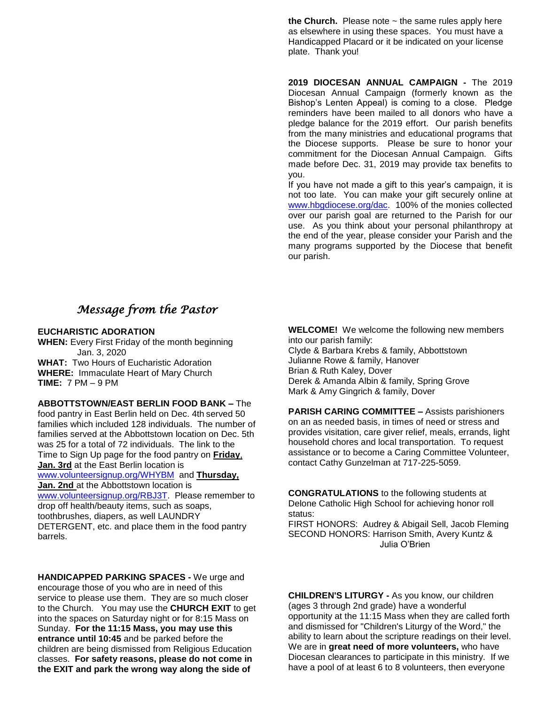**the Church.** Please note  $\sim$  the same rules apply here as elsewhere in using these spaces. You must have a Handicapped Placard or it be indicated on your license plate. Thank you!

**2019 DIOCESAN ANNUAL CAMPAIGN -** The 2019 Diocesan Annual Campaign (formerly known as the Bishop's Lenten Appeal) is coming to a close. Pledge reminders have been mailed to all donors who have a pledge balance for the 2019 effort. Our parish benefits from the many ministries and educational programs that the Diocese supports. Please be sure to honor your commitment for the Diocesan Annual Campaign. Gifts made before Dec. 31, 2019 may provide tax benefits to you.

If you have not made a gift to this year's campaign, it is not too late. You can make your gift securely online at [www.hbgdiocese.org/dac.](http://www.hbgdiocese.org/dac) 100% of the monies collected over our parish goal are returned to the Parish for our use. As you think about your personal philanthropy at the end of the year, please consider your Parish and the many programs supported by the Diocese that benefit our parish.

# *Message from the Pastor*

### **EUCHARISTIC ADORATION**

**WHEN:** Every First Friday of the month beginning Jan. 3, 2020 **WHAT:** Two Hours of Eucharistic Adoration **WHERE:** Immaculate Heart of Mary Church **TIME:** 7 PM – 9 PM

**ABBOTTSTOWN/EAST BERLIN FOOD BANK –** The

food pantry in East Berlin held on Dec. 4th served 50 families which included 128 individuals. The number of families served at the Abbottstown location on Dec. 5th was 25 for a total of 72 individuals. The link to the Time to Sign Up page for the food pantry on **Friday**, **Jan. 3rd** at the East Berlin location is [www.volunteersignup.org/WHYBM](http://www.volunteersignup.org/WHYBM) and **Thursday, Jan. 2nd** at the Abbottstown location is [www.volunteersignup.org/RBJ3T.](http://www.volunteersignup.org/BD89J) Please remember to drop off health/beauty items, such as soaps, toothbrushes, diapers, as well LAUNDRY DETERGENT, etc. and place them in the food pantry barrels.

**HANDICAPPED PARKING SPACES -** We urge and encourage those of you who are in need of this service to please use them. They are so much closer to the Church. You may use the **CHURCH EXIT** to get into the spaces on Saturday night or for 8:15 Mass on Sunday. **For the 11:15 Mass, you may use this entrance until 10:45** and be parked before the children are being dismissed from Religious Education classes. **For safety reasons, please do not come in the EXIT and park the wrong way along the side of** 

**WELCOME!** We welcome the following new members into our parish family: Clyde & Barbara Krebs & family, Abbottstown Julianne Rowe & family, Hanover Brian & Ruth Kaley, Dover Derek & Amanda Albin & family, Spring Grove Mark & Amy Gingrich & family, Dover

**PARISH CARING COMMITTEE –** Assists parishioners on an as needed basis, in times of need or stress and provides visitation, care giver relief, meals, errands, light household chores and local transportation. To request assistance or to become a Caring Committee Volunteer, contact Cathy Gunzelman at 717-225-5059.

**CONGRATULATIONS** to the following students at Delone Catholic High School for achieving honor roll status:

FIRST HONORS: Audrey & Abigail Sell, Jacob Fleming SECOND HONORS: Harrison Smith, Avery Kuntz & Julia O'Brien

**CHILDREN'S LITURGY -** As you know, our children (ages 3 through 2nd grade) have a wonderful opportunity at the 11:15 Mass when they are called forth and dismissed for "Children's Liturgy of the Word," the ability to learn about the scripture readings on their level. We are in **great need of more volunteers,** who have Diocesan clearances to participate in this ministry. If we have a pool of at least 6 to 8 volunteers, then everyone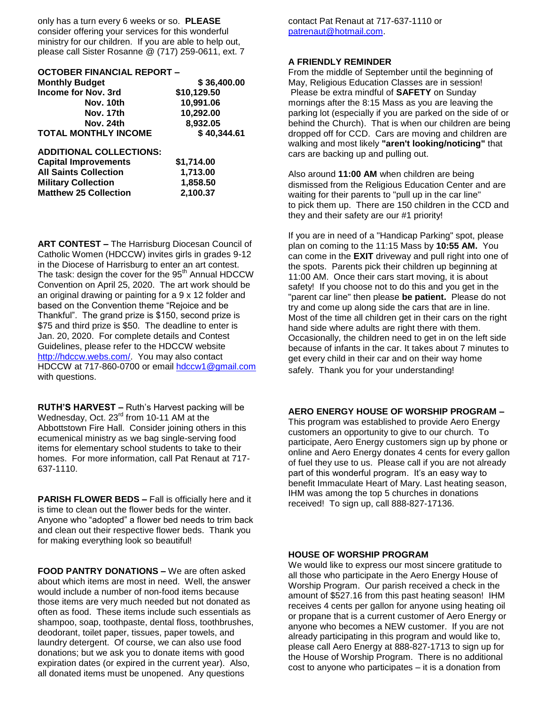only has a turn every 6 weeks or so. **PLEASE** consider offering your services for this wonderful ministry for our children. If you are able to help out, please call Sister Rosanne @ (717) 259-0611, ext. 7

| <b>OCTOBER FINANCIAL REPORT -</b> |             |
|-----------------------------------|-------------|
| <b>Monthly Budget</b>             | \$36,400.00 |
| <b>Income for Nov. 3rd</b>        | \$10,129.50 |
| Nov. 10th                         | 10,991.06   |
| Nov. 17th                         | 10,292.00   |
| Nov. 24th                         | 8,932.05    |
| <b>TOTAL MONTHLY INCOME</b>       | \$40,344.61 |
| <b>ADDITIONAL COLLECTIONS:</b>    |             |
| <b>Capital Improvements</b>       | \$1,714.00  |
| <b>All Saints Collection</b>      | 1,713.00    |
| <b>Military Collection</b>        | 1,858.50    |
| <b>Matthew 25 Collection</b>      | 2,100.37    |

**ART CONTEST –** The Harrisburg Diocesan Council of Catholic Women (HDCCW) invites girls in grades 9-12 in the Diocese of Harrisburg to enter an art contest. The task: design the cover for the 95<sup>th</sup> Annual HDCCW Convention on April 25, 2020. The art work should be an original drawing or painting for a 9 x 12 folder and based on the Convention theme "Rejoice and be Thankful". The grand prize is \$150, second prize is \$75 and third prize is \$50. The deadline to enter is Jan. 20, 2020. For complete details and Contest Guidelines, please refer to the HDCCW website [http://hdccw.webs.com/.](http://hdccw.webs.com/) You may also contact HDCCW at 717-860-0700 or email [hdccw1@gmail.com](mailto:hdccw1@gmail.com) with questions.

**RUTH'S HARVEST –** Ruth's Harvest packing will be Wednesday, Oct. 23<sup>rd</sup> from 10-11 AM at the Abbottstown Fire Hall. Consider joining others in this ecumenical ministry as we bag single-serving food items for elementary school students to take to their homes. For more information, call Pat Renaut at 717- 637-1110.

**PARISH FLOWER BEDS –** Fall is officially here and it is time to clean out the flower beds for the winter. Anyone who "adopted" a flower bed needs to trim back and clean out their respective flower beds. Thank you for making everything look so beautiful!

**FOOD PANTRY DONATIONS –** We are often asked about which items are most in need. Well, the answer would include a number of non-food items because those items are very much needed but not donated as often as food. These items include such essentials as shampoo, soap, toothpaste, dental floss, toothbrushes, deodorant, toilet paper, tissues, paper towels, and laundry detergent. Of course, we can also use food donations; but we ask you to donate items with good expiration dates (or expired in the current year). Also, all donated items must be unopened. Any questions

contact Pat Renaut at 717-637-1110 or [patrenaut@hotmail.com.](mailto:patrenaut@hotmail.com)

### **A FRIENDLY REMINDER**

From the middle of September until the beginning of May, Religious Education Classes are in session! Please be extra mindful of **SAFETY** on Sunday mornings after the 8:15 Mass as you are leaving the parking lot (especially if you are parked on the side of or behind the Church). That is when our children are being dropped off for CCD. Cars are moving and children are walking and most likely **"aren't looking/noticing"** that cars are backing up and pulling out.

Also around **11:00 AM** when children are being dismissed from the Religious Education Center and are waiting for their parents to "pull up in the car line" to pick them up. There are 150 children in the CCD and they and their safety are our #1 priority!

If you are in need of a "Handicap Parking" spot, please plan on coming to the 11:15 Mass by **10:55 AM.** You can come in the **EXIT** driveway and pull right into one of the spots. Parents pick their children up beginning at 11:00 AM. Once their cars start moving, it is about safety! If you choose not to do this and you get in the "parent car line" then please **be patient.** Please do not try and come up along side the cars that are in line. Most of the time all children get in their cars on the right hand side where adults are right there with them. Occasionally, the children need to get in on the left side because of infants in the car. It takes about 7 minutes to get every child in their car and on their way home safely. Thank you for your understanding!

### **AERO ENERGY HOUSE OF WORSHIP PROGRAM –**

This program was established to provide Aero Energy customers an opportunity to give to our church. To participate, Aero Energy customers sign up by phone or online and Aero Energy donates 4 cents for every gallon of fuel they use to us. Please call if you are not already part of this wonderful program. It's an easy way to benefit Immaculate Heart of Mary. Last heating season, IHM was among the top 5 churches in donations received! To sign up, call 888-827-17136.

### **HOUSE OF WORSHIP PROGRAM**

We would like to express our most sincere gratitude to all those who participate in the Aero Energy House of Worship Program. Our parish received a check in the amount of \$527.16 from this past heating season! IHM receives 4 cents per gallon for anyone using heating oil or propane that is a current customer of Aero Energy or anyone who becomes a NEW customer. If you are not already participating in this program and would like to, please call Aero Energy at 888-827-1713 to sign up for the House of Worship Program. There is no additional cost to anyone who participates – it is a donation from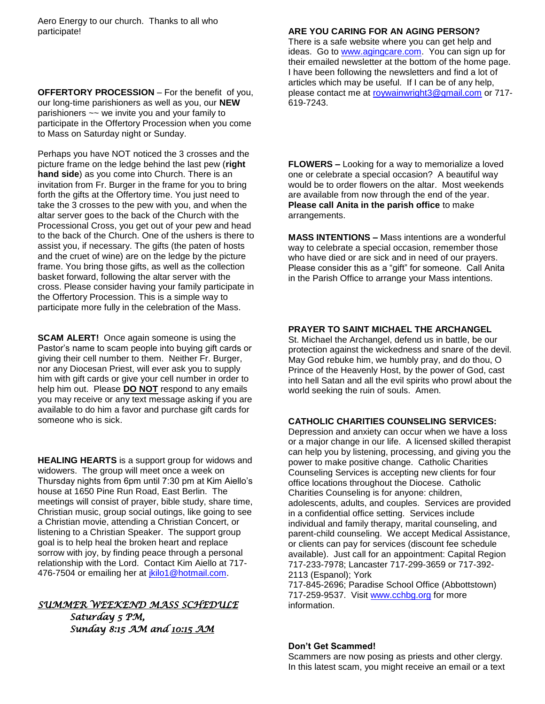**OFFERTORY PROCESSION** – For the benefit of you, our long-time parishioners as well as you, our **NEW**  parishioners ~~ we invite you and your family to participate in the Offertory Procession when you come to Mass on Saturday night or Sunday.

Perhaps you have NOT noticed the 3 crosses and the picture frame on the ledge behind the last pew (**right hand side**) as you come into Church. There is an invitation from Fr. Burger in the frame for you to bring forth the gifts at the Offertory time. You just need to take the 3 crosses to the pew with you, and when the altar server goes to the back of the Church with the Processional Cross, you get out of your pew and head to the back of the Church. One of the ushers is there to assist you, if necessary. The gifts (the paten of hosts and the cruet of wine) are on the ledge by the picture frame. You bring those gifts, as well as the collection basket forward, following the altar server with the cross. Please consider having your family participate in the Offertory Procession. This is a simple way to participate more fully in the celebration of the Mass.

**SCAM ALERT!** Once again someone is using the Pastor's name to scam people into buying gift cards or giving their cell number to them. Neither Fr. Burger, nor any Diocesan Priest, will ever ask you to supply him with gift cards or give your cell number in order to help him out. Please **DO NOT** respond to any emails you may receive or any text message asking if you are available to do him a favor and purchase gift cards for someone who is sick.

**HEALING HEARTS** is a support group for widows and widowers. The group will meet once a week on Thursday nights from 6pm until 7:30 pm at Kim Aiello's house at 1650 Pine Run Road, East Berlin. The meetings will consist of prayer, bible study, share time, Christian music, group social outings, like going to see a Christian movie, attending a Christian Concert, or listening to a Christian Speaker. The support group goal is to help heal the broken heart and replace sorrow with joy, by finding peace through a personal relationship with the Lord. Contact Kim Aiello at 717- 476-7504 or emailing her at [jkilo1@hotmail.com.](mailto:jkilo1@hotmail.com)

## *SUMMER WEEKEND MASS SCHEDULE*

*Saturday 5 PM, Sunday 8:15 AM and 10:15 AM* 

### **ARE YOU CARING FOR AN AGING PERSON?**

There is a safe website where you can get help and ideas. Go to [www.agingcare.com.](http://www.agingcare.com/) You can sign up for their emailed newsletter at the bottom of the home page. I have been following the newsletters and find a lot of articles which may be useful. If I can be of any help, please contact me at [roywainwright3@gmail.com](mailto:roywainwright3@gmail.com) or 717- 619-7243.

**FLOWERS –** Looking for a way to memorialize a loved one or celebrate a special occasion? A beautiful way would be to order flowers on the altar. Most weekends are available from now through the end of the year. **Please call Anita in the parish office** to make arrangements.

**MASS INTENTIONS –** Mass intentions are a wonderful way to celebrate a special occasion, remember those who have died or are sick and in need of our prayers. Please consider this as a "gift" for someone. Call Anita in the Parish Office to arrange your Mass intentions.

### **PRAYER TO SAINT MICHAEL THE ARCHANGEL**

St. Michael the Archangel, defend us in battle, be our protection against the wickedness and snare of the devil. May God rebuke him, we humbly pray, and do thou, O Prince of the Heavenly Host, by the power of God, cast into hell Satan and all the evil spirits who prowl about the world seeking the ruin of souls. Amen.

### **CATHOLIC CHARITIES COUNSELING SERVICES:**

Depression and anxiety can occur when we have a loss or a major change in our life. A licensed skilled therapist can help you by listening, processing, and giving you the power to make positive change. Catholic Charities Counseling Services is accepting new clients for four office locations throughout the Diocese. Catholic Charities Counseling is for anyone: children, adolescents, adults, and couples. Services are provided in a confidential office setting. Services include individual and family therapy, marital counseling, and parent-child counseling. We accept Medical Assistance, or clients can pay for services (discount fee schedule available). Just call for an appointment: Capital Region 717-233-7978; Lancaster 717-299-3659 or 717-392- 2113 (Espanol); York 717-845-2696; Paradise School Office (Abbottstown)

717-259-9537. Visit [www.cchbg.org](http://www.cchbg.org/) for more information.

### **Don't Get Scammed!**

Scammers are now posing as priests and other clergy. In this latest scam, you might receive an email or a text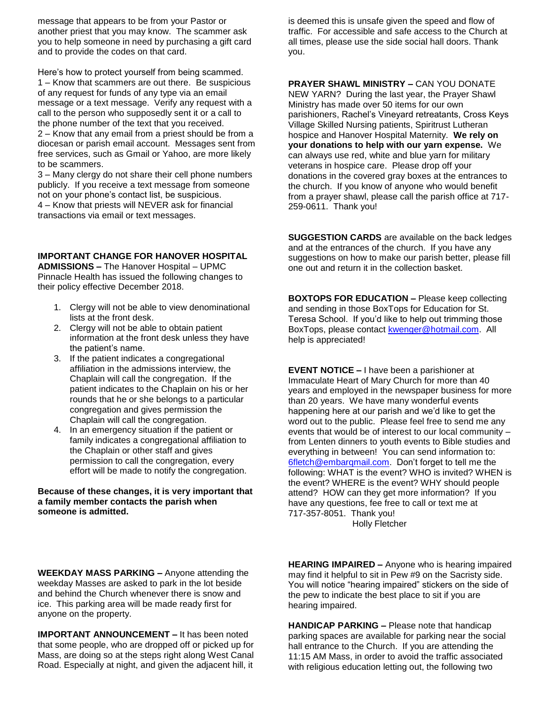message that appears to be from your Pastor or another priest that you may know. The scammer ask you to help someone in need by purchasing a gift card and to provide the codes on that card.

Here's how to protect yourself from being scammed. 1 – Know that scammers are out there. Be suspicious of any request for funds of any type via an email message or a text message. Verify any request with a call to the person who supposedly sent it or a call to the phone number of the text that you received. 2 – Know that any email from a priest should be from a diocesan or parish email account. Messages sent from free services, such as Gmail or Yahoo, are more likely to be scammers.

3 – Many clergy do not share their cell phone numbers publicly. If you receive a text message from someone not on your phone's contact list, be suspicious. 4 – Know that priests will NEVER ask for financial

transactions via email or text messages.

### **IMPORTANT CHANGE FOR HANOVER HOSPITAL**

**ADMISSIONS –** The Hanover Hospital – UPMC Pinnacle Health has issued the following changes to their policy effective December 2018.

- 1. Clergy will not be able to view denominational lists at the front desk.
- 2. Clergy will not be able to obtain patient information at the front desk unless they have the patient's name.
- 3. If the patient indicates a congregational affiliation in the admissions interview, the Chaplain will call the congregation. If the patient indicates to the Chaplain on his or her rounds that he or she belongs to a particular congregation and gives permission the Chaplain will call the congregation.
- 4. In an emergency situation if the patient or family indicates a congregational affiliation to the Chaplain or other staff and gives permission to call the congregation, every effort will be made to notify the congregation.

### **Because of these changes, it is very important that a family member contacts the parish when someone is admitted.**

is deemed this is unsafe given the speed and flow of traffic. For accessible and safe access to the Church at all times, please use the side social hall doors. Thank you.

**PRAYER SHAWL MINISTRY –** CAN YOU DONATE

NEW YARN? During the last year, the Prayer Shawl Ministry has made over 50 items for our own parishioners, Rachel's Vineyard retreatants, Cross Keys Village Skilled Nursing patients, Spiritrust Lutheran hospice and Hanover Hospital Maternity. **We rely on your donations to help with our yarn expense.** We can always use red, white and blue yarn for military veterans in hospice care. Please drop off your donations in the covered gray boxes at the entrances to the church. If you know of anyone who would benefit from a prayer shawl, please call the parish office at 717- 259-0611. Thank you!

**SUGGESTION CARDS** are available on the back ledges and at the entrances of the church. If you have any suggestions on how to make our parish better, please fill one out and return it in the collection basket.

**BOXTOPS FOR EDUCATION –** Please keep collecting and sending in those BoxTops for Education for St. Teresa School. If you'd like to help out trimming those BoxTops, please contact [kwenger@hotmail.com.](mailto:kwenger@hotmail.com) All help is appreciated!

**EVENT NOTICE –** I have been a parishioner at Immaculate Heart of Mary Church for more than 40 years and employed in the newspaper business for more than 20 years. We have many wonderful events happening here at our parish and we'd like to get the word out to the public. Please feel free to send me any events that would be of interest to our local community – from Lenten dinners to youth events to Bible studies and everything in between! You can send information to: [6fletch@embarqmail.com.](mailto:6fletch@embarqmail.com) Don't forget to tell me the following: WHAT is the event? WHO is invited? WHEN is the event? WHERE is the event? WHY should people attend? HOW can they get more information? If you have any questions, fee free to call or text me at 717-357-8051. Thank you!

Holly Fletcher

**WEEKDAY MASS PARKING –** Anyone attending the weekday Masses are asked to park in the lot beside and behind the Church whenever there is snow and ice. This parking area will be made ready first for anyone on the property.

**IMPORTANT ANNOUNCEMENT –** It has been noted that some people, who are dropped off or picked up for Mass, are doing so at the steps right along West Canal Road. Especially at night, and given the adjacent hill, it

**HEARING IMPAIRED –** Anyone who is hearing impaired may find it helpful to sit in Pew #9 on the Sacristy side. You will notice "hearing impaired" stickers on the side of the pew to indicate the best place to sit if you are hearing impaired.

**HANDICAP PARKING –** Please note that handicap parking spaces are available for parking near the social hall entrance to the Church. If you are attending the 11:15 AM Mass, in order to avoid the traffic associated with religious education letting out, the following two